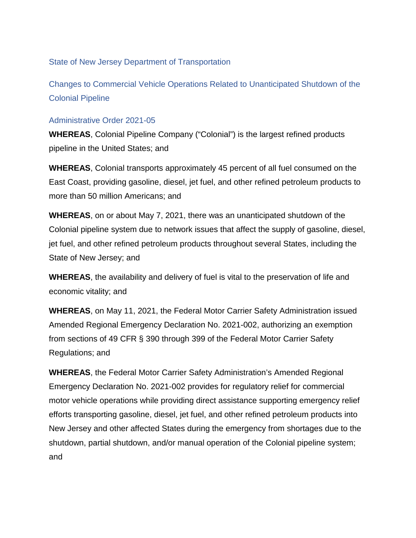State of New Jersey Department of Transportation

Changes to Commercial Vehicle Operations Related to Unanticipated Shutdown of the Colonial Pipeline

## Administrative Order 2021-05

**WHEREAS**, Colonial Pipeline Company ("Colonial") is the largest refined products pipeline in the United States; and

**WHEREAS**, Colonial transports approximately 45 percent of all fuel consumed on the East Coast, providing gasoline, diesel, jet fuel, and other refined petroleum products to more than 50 million Americans; and

**WHEREAS**, on or about May 7, 2021, there was an unanticipated shutdown of the Colonial pipeline system due to network issues that affect the supply of gasoline, diesel, jet fuel, and other refined petroleum products throughout several States, including the State of New Jersey; and

**WHEREAS**, the availability and delivery of fuel is vital to the preservation of life and economic vitality; and

**WHEREAS**, on May 11, 2021, the Federal Motor Carrier Safety Administration issued Amended Regional Emergency Declaration No. 2021-002, authorizing an exemption from sections of 49 CFR § 390 through 399 of the Federal Motor Carrier Safety Regulations; and

**WHEREAS**, the Federal Motor Carrier Safety Administration's Amended Regional Emergency Declaration No. 2021-002 provides for regulatory relief for commercial motor vehicle operations while providing direct assistance supporting emergency relief efforts transporting gasoline, diesel, jet fuel, and other refined petroleum products into New Jersey and other affected States during the emergency from shortages due to the shutdown, partial shutdown, and/or manual operation of the Colonial pipeline system; and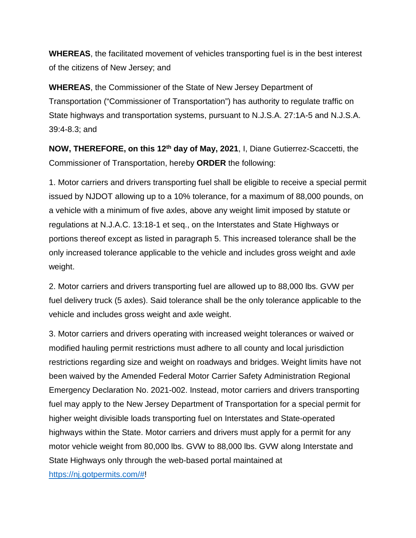**WHEREAS**, the facilitated movement of vehicles transporting fuel is in the best interest of the citizens of New Jersey; and

**WHEREAS**, the Commissioner of the State of New Jersey Department of Transportation ("Commissioner of Transportation") has authority to regulate traffic on State highways and transportation systems, pursuant to N.J.S.A. 27:1A-5 and N.J.S.A. 39:4-8.3; and

**NOW, THEREFORE, on this 12th day of May, 2021**, I, Diane Gutierrez-Scaccetti, the Commissioner of Transportation, hereby **ORDER** the following:

1. Motor carriers and drivers transporting fuel shall be eligible to receive a special permit issued by NJDOT allowing up to a 10% tolerance, for a maximum of 88,000 pounds, on a vehicle with a minimum of five axles, above any weight limit imposed by statute or regulations at N.J.A.C. 13:18-1 et seq., on the Interstates and State Highways or portions thereof except as listed in paragraph 5. This increased tolerance shall be the only increased tolerance applicable to the vehicle and includes gross weight and axle weight.

2. Motor carriers and drivers transporting fuel are allowed up to 88,000 lbs. GVW per fuel delivery truck (5 axles). Said tolerance shall be the only tolerance applicable to the vehicle and includes gross weight and axle weight.

3. Motor carriers and drivers operating with increased weight tolerances or waived or modified hauling permit restrictions must adhere to all county and local jurisdiction restrictions regarding size and weight on roadways and bridges. Weight limits have not been waived by the Amended Federal Motor Carrier Safety Administration Regional Emergency Declaration No. 2021-002. Instead, motor carriers and drivers transporting fuel may apply to the New Jersey Department of Transportation for a special permit for higher weight divisible loads transporting fuel on Interstates and State-operated highways within the State. Motor carriers and drivers must apply for a permit for any motor vehicle weight from 80,000 lbs. GVW to 88,000 lbs. GVW along Interstate and State Highways only through the web-based portal maintained at

[https://nj.gotpermits.com/#!](https://nj.gotpermits.com/)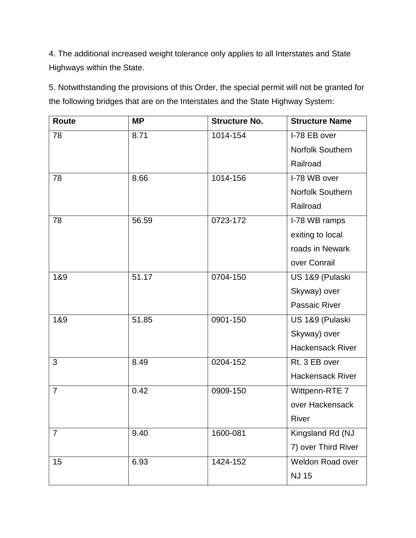4. The additional increased weight tolerance only applies to all Interstates and State Highways within the State.

5. Notwithstanding the provisions of this Order, the special permit will not be granted for the following bridges that are on the Interstates and the State Highway System:

| Route          | <b>MP</b> | <b>Structure No.</b> | <b>Structure Name</b>   |
|----------------|-----------|----------------------|-------------------------|
| 78             | 8.71      | 1014-154             | I-78 EB over            |
|                |           |                      | <b>Norfolk Southern</b> |
|                |           |                      | Railroad                |
| 78             | 8.66      | 1014-156             | I-78 WB over            |
|                |           |                      | <b>Norfolk Southern</b> |
|                |           |                      | Railroad                |
| 78             | 56.59     | 0723-172             | I-78 WB ramps           |
|                |           |                      | exiting to local        |
|                |           |                      | roads in Newark         |
|                |           |                      | over Conrail            |
| 1&9            | 51.17     | 0704-150             | US 1&9 (Pulaski         |
|                |           |                      | Skyway) over            |
|                |           |                      | Passaic River           |
| 1&9            | 51.85     | 0901-150             | US 1&9 (Pulaski         |
|                |           |                      | Skyway) over            |
|                |           |                      | <b>Hackensack River</b> |
| 3              | 8.49      | 0204-152             | Rt. 3 EB over           |
|                |           |                      | <b>Hackensack River</b> |
| $\overline{7}$ | 0.42      | 0909-150             | Wittpenn-RTE 7          |
|                |           |                      | over Hackensack         |
|                |           |                      | River                   |
| $\overline{7}$ | 9.40      | 1600-081             | Kingsland Rd (NJ        |
|                |           |                      | 7) over Third River     |
| 15             | 6.93      | 1424-152             | Weldon Road over        |
|                |           |                      | <b>NJ 15</b>            |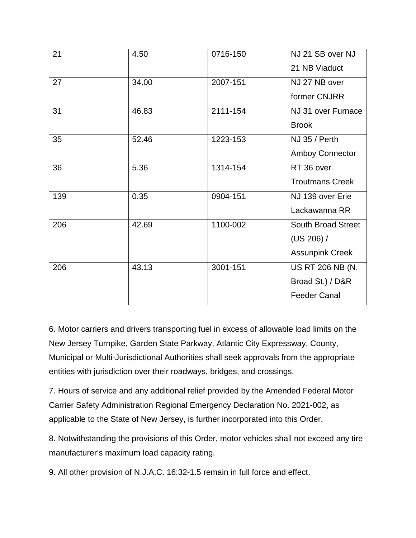| 21  | 4.50  | 0716-150 | NJ 21 SB over NJ          |
|-----|-------|----------|---------------------------|
|     |       |          | 21 NB Viaduct             |
| 27  | 34.00 | 2007-151 | NJ 27 NB over             |
|     |       |          | former CNJRR              |
| 31  | 46.83 | 2111-154 | NJ 31 over Furnace        |
|     |       |          | <b>Brook</b>              |
| 35  | 52.46 | 1223-153 | NJ 35 / Perth             |
|     |       |          | <b>Amboy Connector</b>    |
| 36  | 5.36  | 1314-154 | RT 36 over                |
|     |       |          | <b>Troutmans Creek</b>    |
| 139 | 0.35  | 0904-151 | NJ 139 over Erie          |
|     |       |          | Lackawanna RR             |
| 206 | 42.69 | 1100-002 | <b>South Broad Street</b> |
|     |       |          | (US 206) /                |
|     |       |          | <b>Assunpink Creek</b>    |
| 206 | 43.13 | 3001-151 | <b>US RT 206 NB (N.</b>   |
|     |       |          | Broad St.) / D&R          |
|     |       |          | <b>Feeder Canal</b>       |

6. Motor carriers and drivers transporting fuel in excess of allowable load limits on the New Jersey Turnpike, Garden State Parkway, Atlantic City Expressway, County, Municipal or Multi-Jurisdictional Authorities shall seek approvals from the appropriate entities with jurisdiction over their roadways, bridges, and crossings.

7. Hours of service and any additional relief provided by the Amended Federal Motor Carrier Safety Administration Regional Emergency Declaration No. 2021-002, as applicable to the State of New Jersey, is further incorporated into this Order.

8. Notwithstanding the provisions of this Order, motor vehicles shall not exceed any tire manufacturer's maximum load capacity rating.

9. All other provision of N.J.A.C. 16:32-1.5 remain in full force and effect.